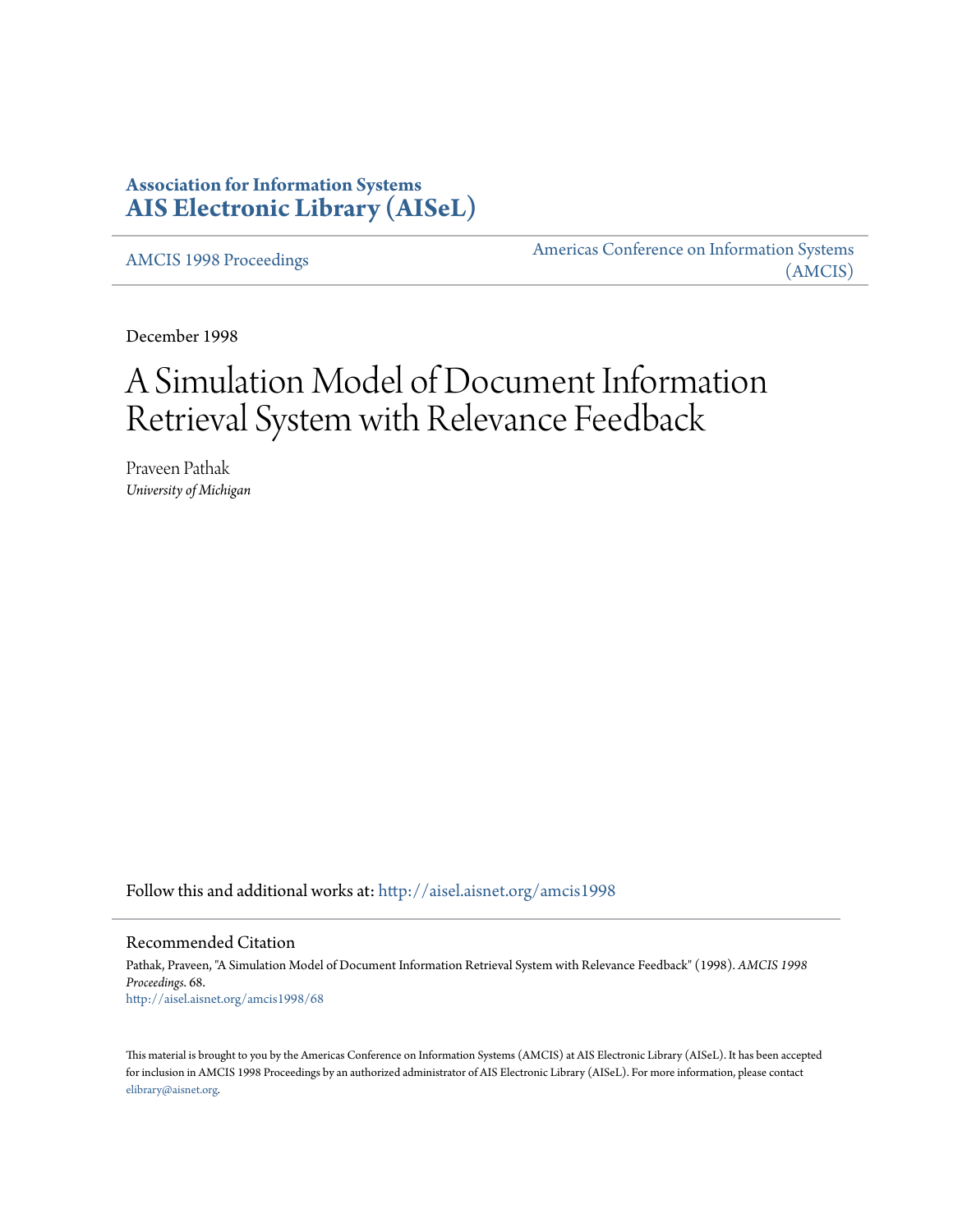## **Association for Information Systems [AIS Electronic Library \(AISeL\)](http://aisel.aisnet.org?utm_source=aisel.aisnet.org%2Famcis1998%2F68&utm_medium=PDF&utm_campaign=PDFCoverPages)**

[AMCIS 1998 Proceedings](http://aisel.aisnet.org/amcis1998?utm_source=aisel.aisnet.org%2Famcis1998%2F68&utm_medium=PDF&utm_campaign=PDFCoverPages)

[Americas Conference on Information Systems](http://aisel.aisnet.org/amcis?utm_source=aisel.aisnet.org%2Famcis1998%2F68&utm_medium=PDF&utm_campaign=PDFCoverPages) [\(AMCIS\)](http://aisel.aisnet.org/amcis?utm_source=aisel.aisnet.org%2Famcis1998%2F68&utm_medium=PDF&utm_campaign=PDFCoverPages)

December 1998

# A Simulation Model of Document Information Retrieval System with Relevance Feedback

Praveen Pathak *University of Michigan*

Follow this and additional works at: [http://aisel.aisnet.org/amcis1998](http://aisel.aisnet.org/amcis1998?utm_source=aisel.aisnet.org%2Famcis1998%2F68&utm_medium=PDF&utm_campaign=PDFCoverPages)

#### Recommended Citation

Pathak, Praveen, "A Simulation Model of Document Information Retrieval System with Relevance Feedback" (1998). *AMCIS 1998 Proceedings*. 68. [http://aisel.aisnet.org/amcis1998/68](http://aisel.aisnet.org/amcis1998/68?utm_source=aisel.aisnet.org%2Famcis1998%2F68&utm_medium=PDF&utm_campaign=PDFCoverPages)

This material is brought to you by the Americas Conference on Information Systems (AMCIS) at AIS Electronic Library (AISeL). It has been accepted for inclusion in AMCIS 1998 Proceedings by an authorized administrator of AIS Electronic Library (AISeL). For more information, please contact [elibrary@aisnet.org.](mailto:elibrary@aisnet.org%3E)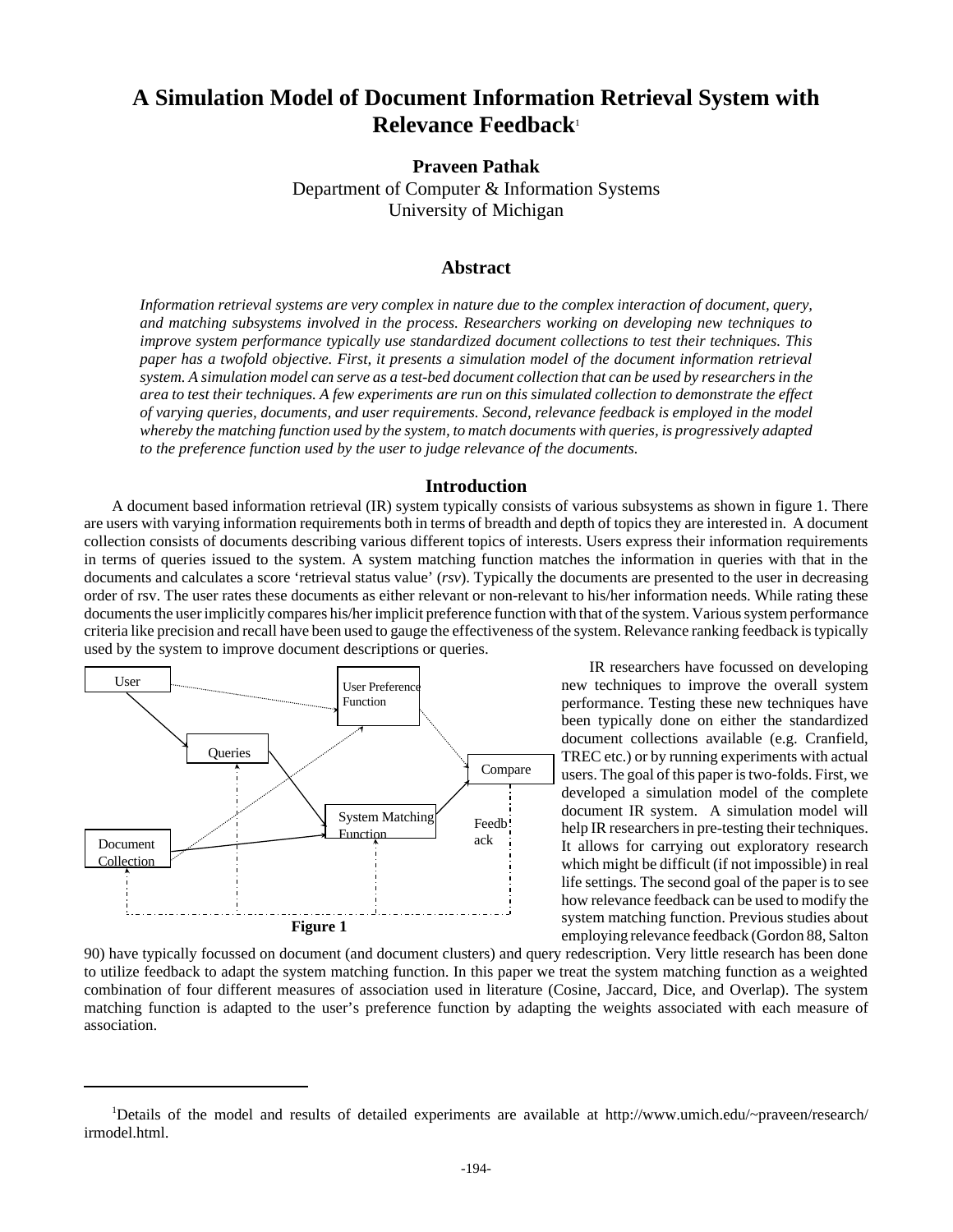# **A Simulation Model of Document Information Retrieval System with Relevance Feedback**<sup>1</sup>

**Praveen Pathak**

Department of Computer & Information Systems University of Michigan

## **Abstract**

*Information retrieval systems are very complex in nature due to the complex interaction of document, query, and matching subsystems involved in the process. Researchers working on developing new techniques to improve system performance typically use standardized document collections to test their techniques. This paper has a twofold objective. First, it presents a simulation model of the document information retrieval system. A simulation model can serve as a test-bed document collection that can be used by researchers in the area to test their techniques. A few experiments are run on this simulated collection to demonstrate the effect of varying queries, documents, and user requirements. Second, relevance feedback is employed in the model whereby the matching function used by the system, to match documents with queries, is progressively adapted to the preference function used by the user to judge relevance of the documents.*

#### **Introduction**

A document based information retrieval (IR) system typically consists of various subsystems as shown in figure 1. There are users with varying information requirements both in terms of breadth and depth of topics they are interested in. A document collection consists of documents describing various different topics of interests. Users express their information requirements in terms of queries issued to the system. A system matching function matches the information in queries with that in the documents and calculates a score 'retrieval status value' (*rsv*). Typically the documents are presented to the user in decreasing order of rsv. The user rates these documents as either relevant or non-relevant to his/her information needs. While rating these documents the user implicitly compares his/her implicit preference function with that of the system. Various system performance criteria like precision and recall have been used to gauge the effectiveness of the system. Relevance ranking feedback is typically used by the system to improve document descriptions or queries.



IR researchers have focussed on developing new techniques to improve the overall system performance. Testing these new techniques have been typically done on either the standardized document collections available (e.g. Cranfield, TREC etc.) or by running experiments with actual users. The goal of this paper is two-folds. First, we developed a simulation model of the complete document IR system. A simulation model will help IR researchers in pre-testing their techniques. It allows for carrying out exploratory research which might be difficult (if not impossible) in real life settings. The second goal of the paper is to see how relevance feedback can be used to modify the system matching function. Previous studies about employing relevance feedback (Gordon 88, Salton

90) have typically focussed on document (and document clusters) and query redescription. Very little research has been done to utilize feedback to adapt the system matching function. In this paper we treat the system matching function as a weighted combination of four different measures of association used in literature (Cosine, Jaccard, Dice, and Overlap). The system matching function is adapted to the user's preference function by adapting the weights associated with each measure of association.

<sup>&</sup>lt;sup>1</sup>Details of the model and results of detailed experiments are available at http://www.umich.edu/~praveen/research/ irmodel.html.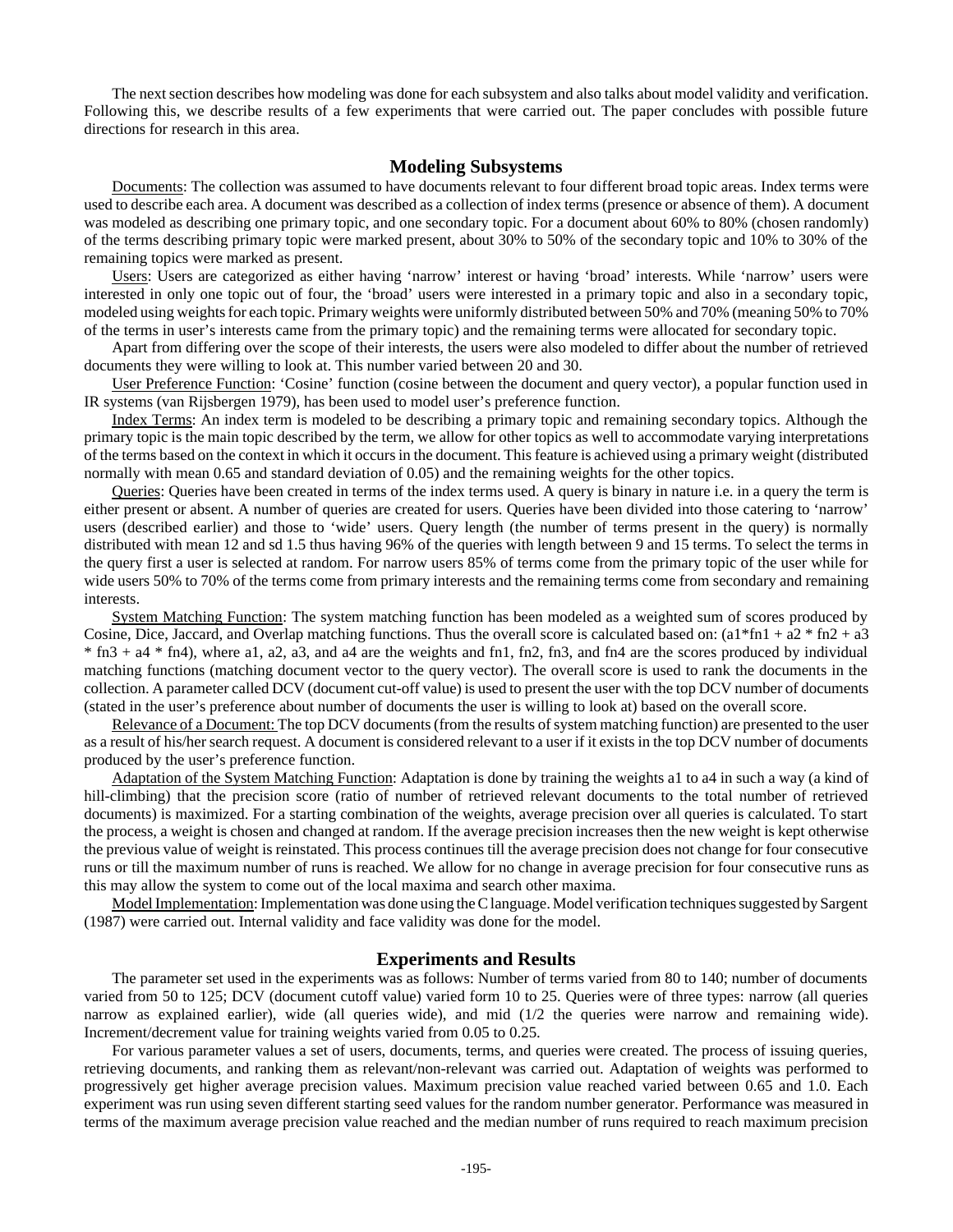The next section describes how modeling was done for each subsystem and also talks about model validity and verification. Following this, we describe results of a few experiments that were carried out. The paper concludes with possible future directions for research in this area.

#### **Modeling Subsystems**

Documents: The collection was assumed to have documents relevant to four different broad topic areas. Index terms were used to describe each area. A document was described as a collection of index terms (presence or absence of them). A document was modeled as describing one primary topic, and one secondary topic. For a document about 60% to 80% (chosen randomly) of the terms describing primary topic were marked present, about 30% to 50% of the secondary topic and 10% to 30% of the remaining topics were marked as present.

Users: Users are categorized as either having 'narrow' interest or having 'broad' interests. While 'narrow' users were interested in only one topic out of four, the 'broad' users were interested in a primary topic and also in a secondary topic, modeled using weights for each topic. Primary weights were uniformly distributed between 50% and 70% (meaning 50% to 70% of the terms in user's interests came from the primary topic) and the remaining terms were allocated for secondary topic.

Apart from differing over the scope of their interests, the users were also modeled to differ about the number of retrieved documents they were willing to look at. This number varied between 20 and 30.

User Preference Function: 'Cosine' function (cosine between the document and query vector), a popular function used in IR systems (van Rijsbergen 1979), has been used to model user's preference function.

Index Terms: An index term is modeled to be describing a primary topic and remaining secondary topics. Although the primary topic is the main topic described by the term, we allow for other topics as well to accommodate varying interpretations of the terms based on the context in which it occurs in the document. This feature is achieved using a primary weight (distributed normally with mean 0.65 and standard deviation of 0.05) and the remaining weights for the other topics.

Queries: Queries have been created in terms of the index terms used. A query is binary in nature i.e. in a query the term is either present or absent. A number of queries are created for users. Queries have been divided into those catering to 'narrow' users (described earlier) and those to 'wide' users. Query length (the number of terms present in the query) is normally distributed with mean 12 and sd 1.5 thus having 96% of the queries with length between 9 and 15 terms. To select the terms in the query first a user is selected at random. For narrow users 85% of terms come from the primary topic of the user while for wide users 50% to 70% of the terms come from primary interests and the remaining terms come from secondary and remaining interests.

System Matching Function: The system matching function has been modeled as a weighted sum of scores produced by Cosine, Dice, Jaccard, and Overlap matching functions. Thus the overall score is calculated based on:  $(a1*fn1 + a2*fn2 + a3)$  $*$  fn3 + a4  $*$  fn4), where a1, a2, a3, and a4 are the weights and fn1, fn2, fn3, and fn4 are the scores produced by individual matching functions (matching document vector to the query vector). The overall score is used to rank the documents in the collection. A parameter called DCV (document cut-off value) is used to present the user with the top DCV number of documents (stated in the user's preference about number of documents the user is willing to look at) based on the overall score.

Relevance of a Document: The top DCV documents (from the results of system matching function) are presented to the user as a result of his/her search request. A document is considered relevant to a user if it exists in the top DCV number of documents produced by the user's preference function.

Adaptation of the System Matching Function: Adaptation is done by training the weights a1 to a4 in such a way (a kind of hill-climbing) that the precision score (ratio of number of retrieved relevant documents to the total number of retrieved documents) is maximized. For a starting combination of the weights, average precision over all queries is calculated. To start the process, a weight is chosen and changed at random. If the average precision increases then the new weight is kept otherwise the previous value of weight is reinstated. This process continues till the average precision does not change for four consecutive runs or till the maximum number of runs is reached. We allow for no change in average precision for four consecutive runs as this may allow the system to come out of the local maxima and search other maxima.

Model Implementation: Implementation was done using the C language. Model verification techniques suggested by Sargent (1987) were carried out. Internal validity and face validity was done for the model.

#### **Experiments and Results**

The parameter set used in the experiments was as follows: Number of terms varied from 80 to 140; number of documents varied from 50 to 125; DCV (document cutoff value) varied form 10 to 25. Queries were of three types: narrow (all queries narrow as explained earlier), wide (all queries wide), and mid (1/2 the queries were narrow and remaining wide). Increment/decrement value for training weights varied from 0.05 to 0.25.

For various parameter values a set of users, documents, terms, and queries were created. The process of issuing queries, retrieving documents, and ranking them as relevant/non-relevant was carried out. Adaptation of weights was performed to progressively get higher average precision values. Maximum precision value reached varied between 0.65 and 1.0. Each experiment was run using seven different starting seed values for the random number generator. Performance was measured in terms of the maximum average precision value reached and the median number of runs required to reach maximum precision